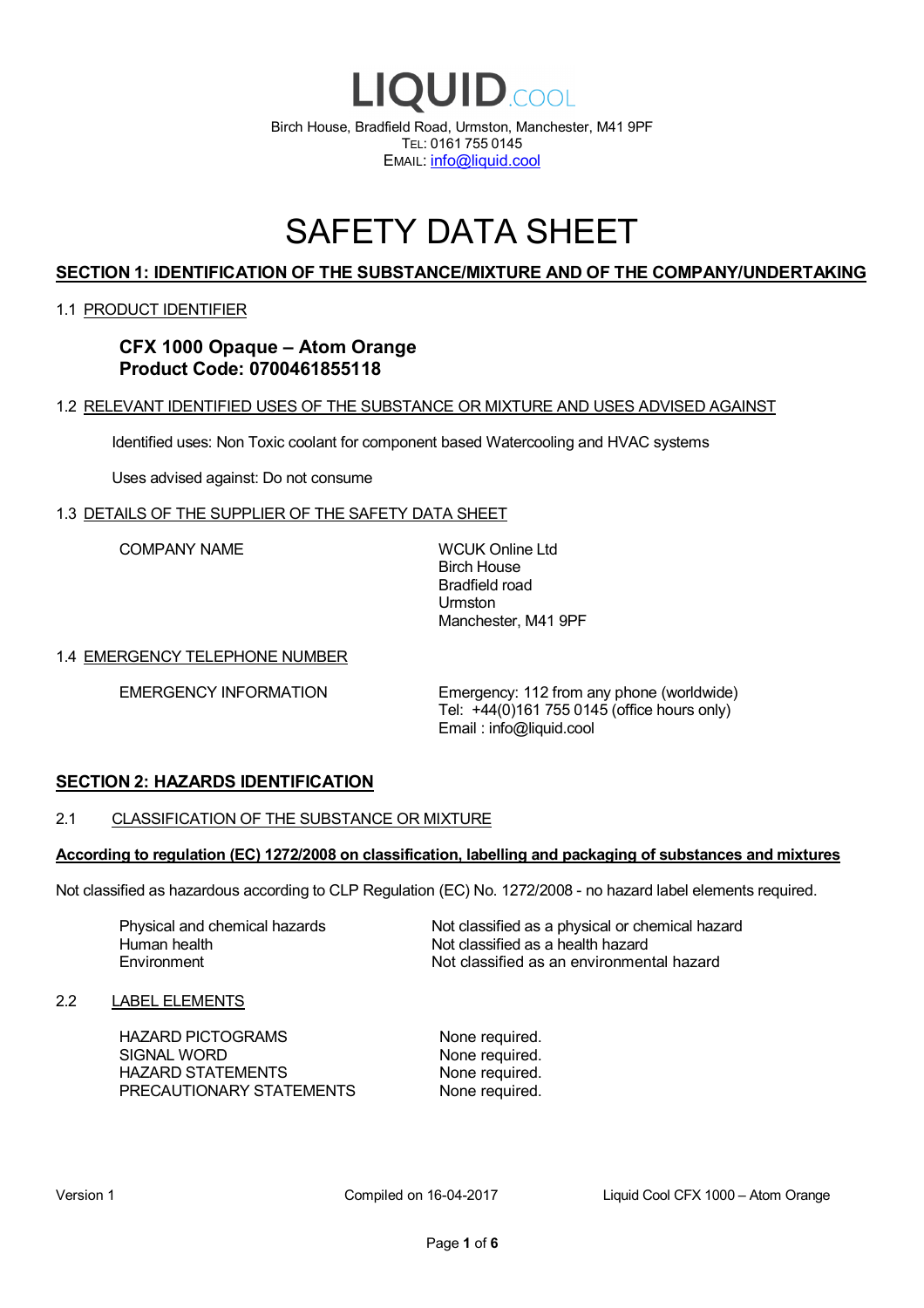

# SAFETY DATA SHEET

# **SECTION 1: IDENTIFICATION OF THE SUBSTANCE/MIXTURE AND OF THE COMPANY/UNDERTAKING**

### 1.1 PRODUCT IDENTIFIER

# **CFX 1000 Opaque – Atom Orange Product Code: 0700461855118**

### 1.2 RELEVANT IDENTIFIED USES OF THE SUBSTANCE OR MIXTURE AND USES ADVISED AGAINST

Identified uses: Non Toxic coolant for component based Watercooling and HVAC systems

Uses advised against: Do not consume

### 1.3 DETAILS OF THE SUPPLIER OF THE SAFETY DATA SHEET

COMPANY NAME WCUK Online Ltd

Birch House Bradfield road Urmston Manchester, M41 9PF

### 1.4 EMERGENCY TELEPHONE NUMBER

EMERGENCY INFORMATION Emergency: 112 from any phone (worldwide) Tel: +44(0)161 755 0145 (office hours only) Email : info@liquid.cool

### **SECTION 2: HAZARDS IDENTIFICATION**

### 2.1 CLASSIFICATION OF THE SUBSTANCE OR MIXTURE

### **According to regulation (EC) 1272/2008 on classification, labelling and packaging of substances and mixtures**

Not classified as hazardous according to CLP Regulation (EC) No. 1272/2008 - no hazard label elements required.

Human health **Environment** 

Physical and chemical hazards Not classified as a physical or chemical hazard Not classified as a health hazard Not classified as an environmental hazard

### 2.2 LABEL ELEMENTS

HAZARD PICTOGRAMS None required. SIGNAL WORD None required. HAZARD STATEMENTS None required. PRECAUTIONARY STATEMENTS None required.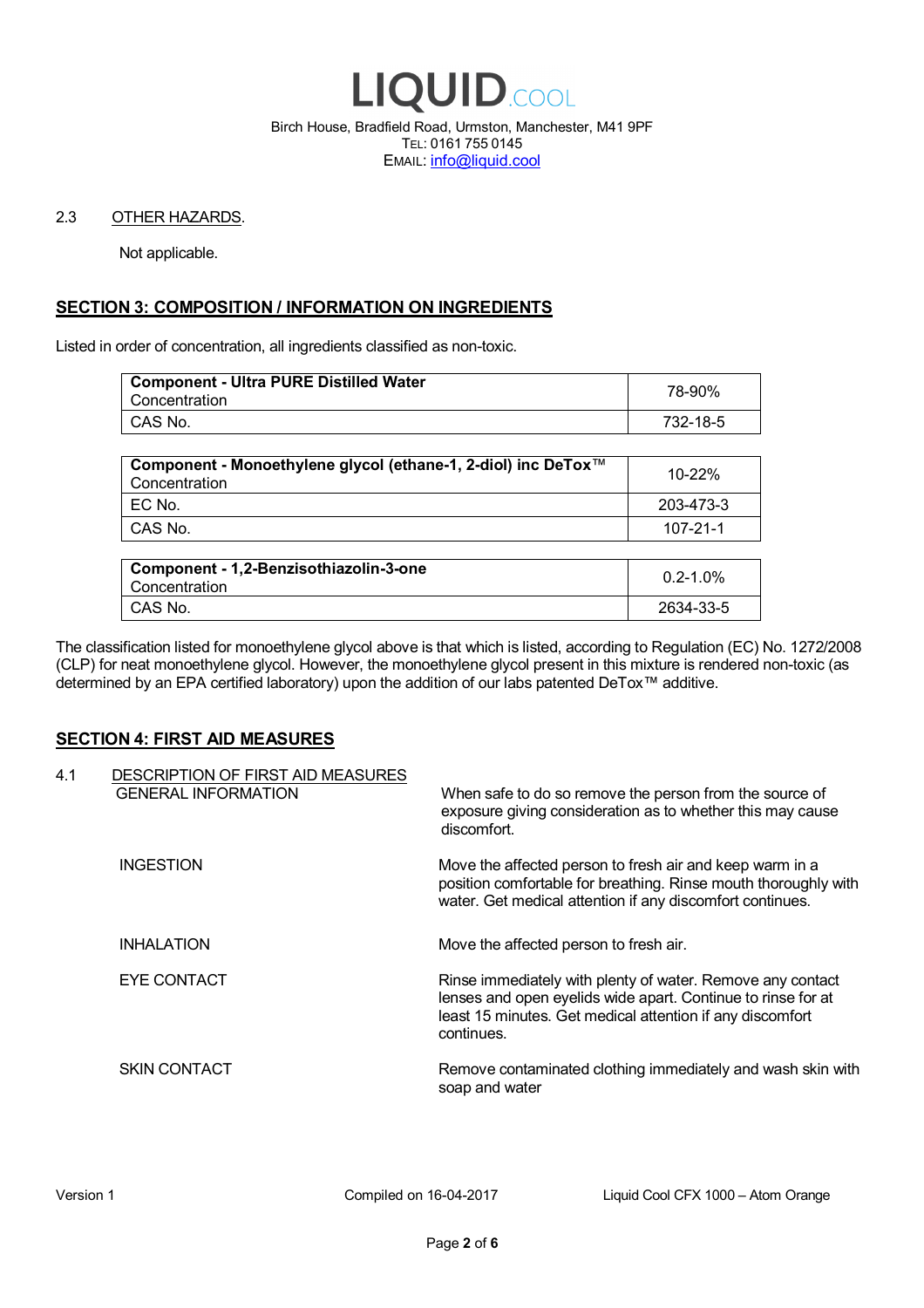

Birch House, Bradfield Road, Urmston, Manchester, M41 9PF TEL: 0161 755 0145 EMAIL: info@liquid.cool

### 2.3 OTHER HAZARDS.

Not applicable.

# **SECTION 3: COMPOSITION / INFORMATION ON INGREDIENTS**

Listed in order of concentration, all ingredients classified as non-toxic.

| <b>Component - Ultra PURE Distilled Water</b><br>Concentration | 78-90%   |
|----------------------------------------------------------------|----------|
| CAS No.                                                        | 732-18-5 |
|                                                                |          |

| Component - Monoethylene glycol (ethane-1, 2-diol) inc DeTox™<br>Concentration | 10-22%    |
|--------------------------------------------------------------------------------|-----------|
| EC No.                                                                         | 203-473-3 |
| CAS No.                                                                        | 107-21-1  |

| Component - 1,2-Benzisothiazolin-3-one<br>Concentration | $0.2 - 1.0\%$ |
|---------------------------------------------------------|---------------|
| CAS No.                                                 | 2634-33-5     |

The classification listed for monoethylene glycol above is that which is listed, according to Regulation (EC) No. 1272/2008 (CLP) for neat monoethylene glycol. However, the monoethylene glycol present in this mixture is rendered non-toxic (as determined by an EPA certified laboratory) upon the addition of our labs patented DeTox™ additive.

### **SECTION 4: FIRST AID MEASURES**

| 4.1 | DESCRIPTION OF FIRST AID MEASURES<br><b>GENERAL INFORMATION</b> | When safe to do so remove the person from the source of<br>exposure giving consideration as to whether this may cause<br>discomfort.                                                                  |
|-----|-----------------------------------------------------------------|-------------------------------------------------------------------------------------------------------------------------------------------------------------------------------------------------------|
|     | <b>INGESTION</b>                                                | Move the affected person to fresh air and keep warm in a<br>position comfortable for breathing. Rinse mouth thoroughly with<br>water. Get medical attention if any discomfort continues.              |
|     | <b>INHALATION</b>                                               | Move the affected person to fresh air.                                                                                                                                                                |
|     | EYE CONTACT                                                     | Rinse immediately with plenty of water. Remove any contact<br>lenses and open eyelids wide apart. Continue to rinse for at<br>least 15 minutes. Get medical attention if any discomfort<br>continues. |
|     | <b>SKIN CONTACT</b>                                             | Remove contaminated clothing immediately and wash skin with<br>soap and water                                                                                                                         |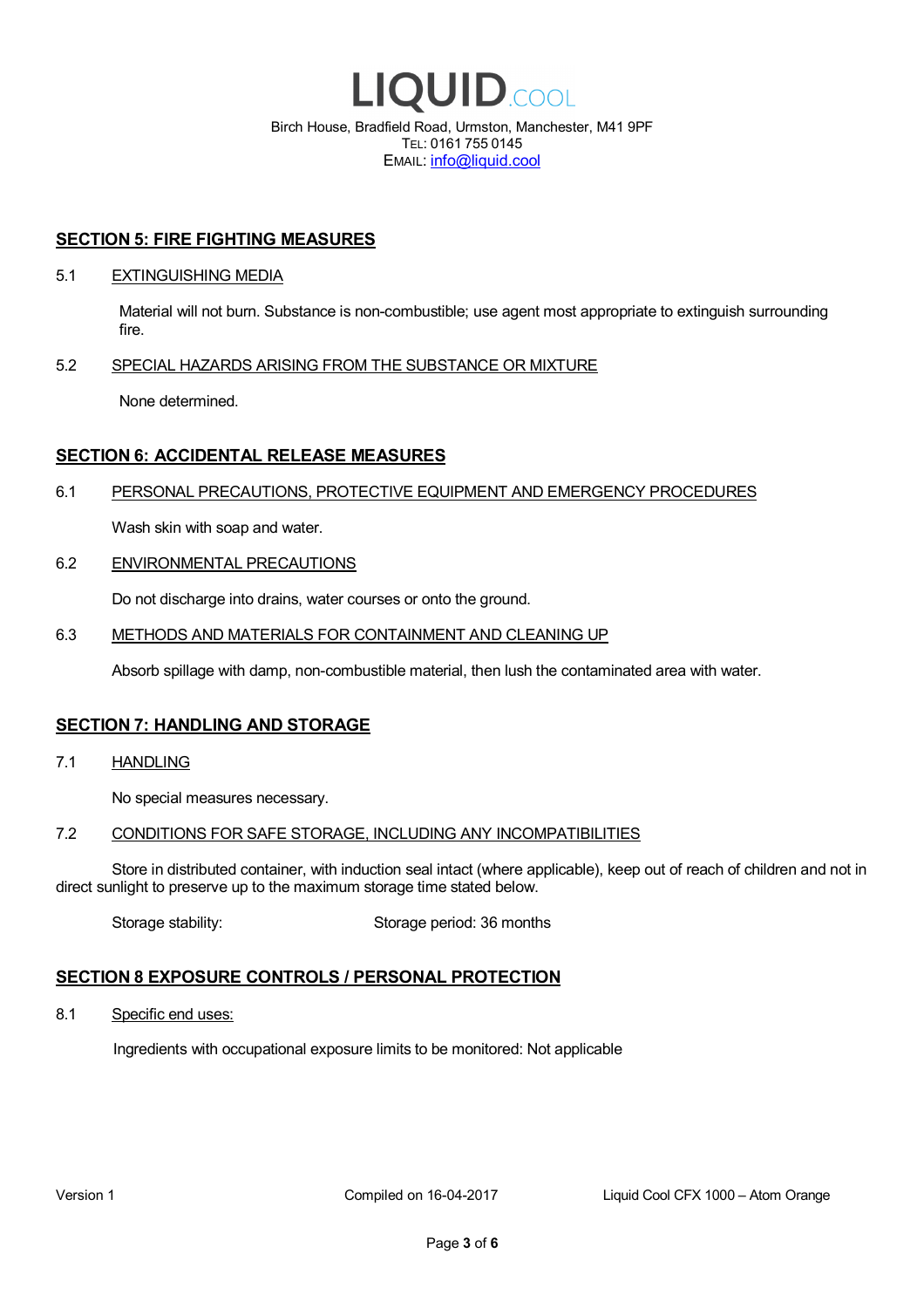

EMAIL: info@liquid.cool

### **SECTION 5: FIRE FIGHTING MEASURES**

### 5.1 EXTINGUISHING MEDIA

Material will not burn. Substance is non-combustible; use agent most appropriate to extinguish surrounding fire.

### 5.2 SPECIAL HAZARDS ARISING FROM THE SUBSTANCE OR MIXTURE

None determined.

## **SECTION 6: ACCIDENTAL RELEASE MEASURES**

### 6.1 PERSONAL PRECAUTIONS, PROTECTIVE EQUIPMENT AND EMERGENCY PROCEDURES

Wash skin with soap and water.

### 6.2 ENVIRONMENTAL PRECAUTIONS

Do not discharge into drains, water courses or onto the ground.

### 6.3 METHODS AND MATERIALS FOR CONTAINMENT AND CLEANING UP

Absorb spillage with damp, non-combustible material, then lush the contaminated area with water.

### **SECTION 7: HANDLING AND STORAGE**

7.1 HANDLING

No special measures necessary.

### 7.2 CONDITIONS FOR SAFE STORAGE, INCLUDING ANY INCOMPATIBILITIES

Store in distributed container, with induction seal intact (where applicable), keep out of reach of children and not in direct sunlight to preserve up to the maximum storage time stated below.

Storage stability: Storage period: 36 months

# **SECTION 8 EXPOSURE CONTROLS / PERSONAL PROTECTION**

8.1 Specific end uses:

Ingredients with occupational exposure limits to be monitored: Not applicable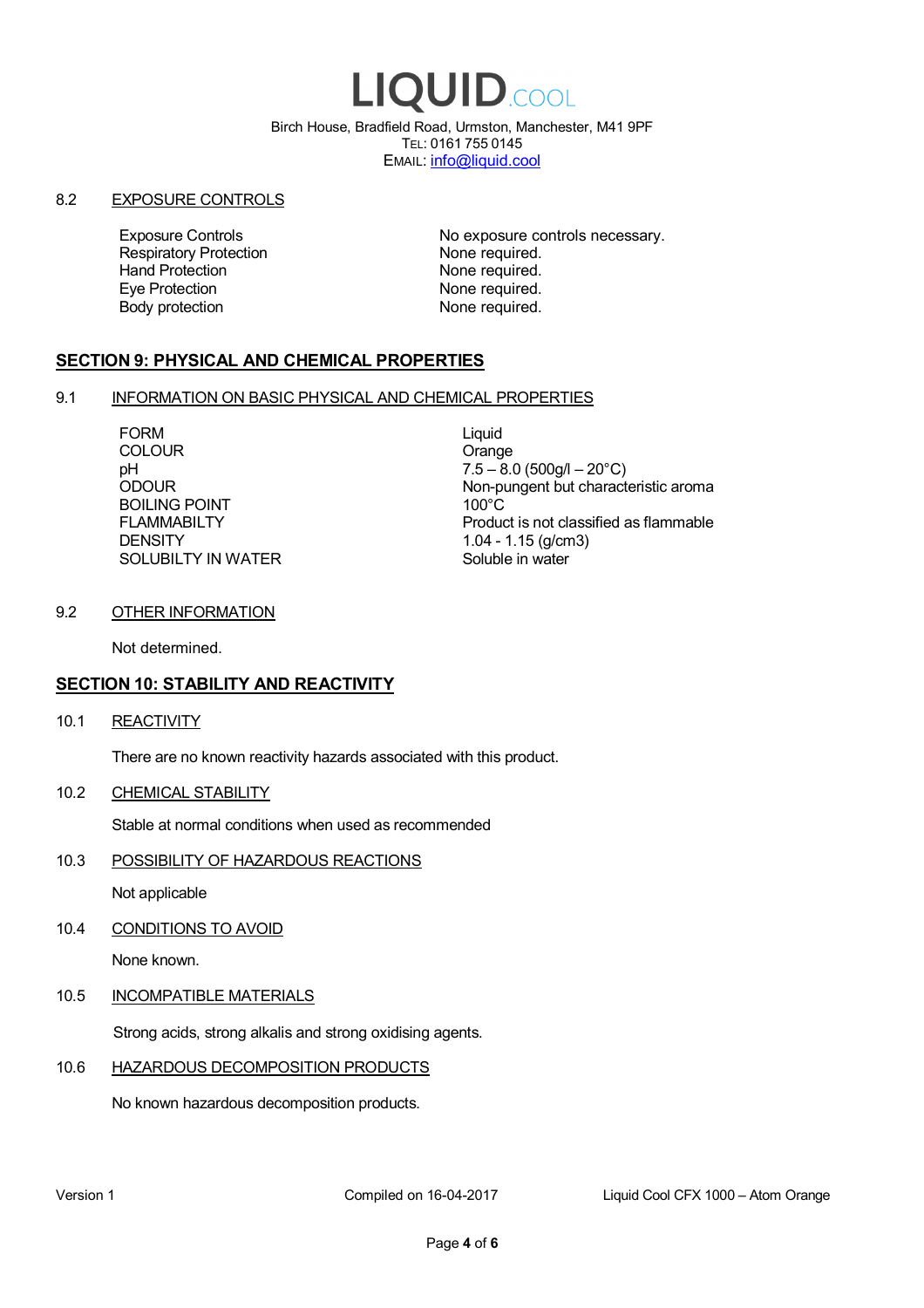# LIQUID.COOL

Birch House, Bradfield Road, Urmston, Manchester, M41 9PF TEL: 0161 755 0145 EMAIL: info@liquid.cool

### 8.2 EXPOSURE CONTROLS

Respiratory Protection **None required.**<br>
Hand Protection **None required.** Eye Protection **None required.** Body protection None required.

Exposure Controls **Exposure Controls** No exposure controls necessary. None required.

# **SECTION 9: PHYSICAL AND CHEMICAL PROPERTIES**

### 9.1 INFORMATION ON BASIC PHYSICAL AND CHEMICAL PROPERTIES

FORM Liquid COLOUR COLOUR COLOUR BOILING POINT FLAMMABILTY **DENSITY** SOLUBILTY IN WATER

pH<br>
DDOUR
20°C)
2000UR
2000UR
2000UR
2000UR Non-pungent but characteristic aroma 100°C Product is not classified as flammable 1.04 - 1.15 (g/cm3) Soluble in water

## 9.2 OTHER INFORMATION

Not determined.

# **SECTION 10: STABILITY AND REACTIVITY**

10.1 REACTIVITY

There are no known reactivity hazards associated with this product.

10.2 CHEMICAL STABILITY

Stable at normal conditions when used as recommended

10.3 POSSIBILITY OF HAZARDOUS REACTIONS

Not applicable

10.4 CONDITIONS TO AVOID

None known.

### 10.5 INCOMPATIBLE MATERIALS

Strong acids, strong alkalis and strong oxidising agents.

### 10.6 HAZARDOUS DECOMPOSITION PRODUCTS

No known hazardous decomposition products.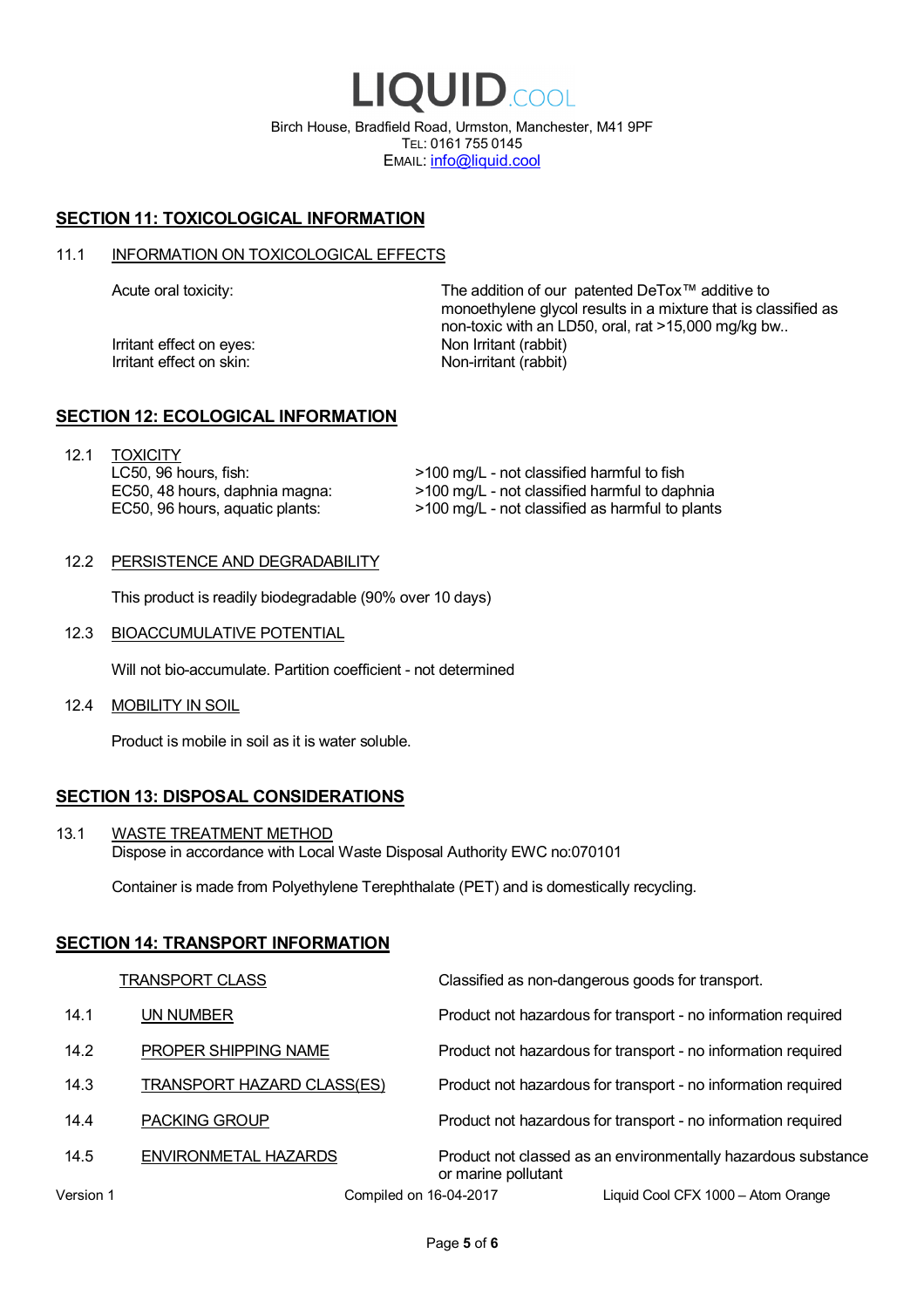LIQUID.COOL Birch House, Bradfield Road, Urmston, Manchester, M41 9PF TEL: 0161 755 0145 EMAIL: info@liquid.cool

# **SECTION 11: TOXICOLOGICAL INFORMATION**

### 11.1 INFORMATION ON TOXICOLOGICAL EFFECTS

Irritant effect on eves: Non Irritant (rabbit) Irritant effect on skin: Non-irritant (rabbit)

Acute oral toxicity: The addition of our patented DeTox™ additive to monoethylene glycol results in a mixture that is classified as non-toxic with an LD50, oral, rat >15,000 mg/kg bw..

### **SECTION 12: ECOLOGICAL INFORMATION**

12.1 TOXICITY LC50, 96 hours, fish: EC50, 48 hours, daphnia magna: EC50, 96 hours, aquatic plants:

>100 mg/L - not classified harmful to fish >100 mg/L - not classified harmful to daphnia >100 mg/L - not classified as harmful to plants

### 12.2 PERSISTENCE AND DEGRADABILITY

This product is readily biodegradable (90% over 10 days)

12.3 BIOACCUMULATIVE POTENTIAL

Will not bio-accumulate. Partition coefficient - not determined

12.4 MOBILITY IN SOIL

Product is mobile in soil as it is water soluble.

# **SECTION 13: DISPOSAL CONSIDERATIONS**

13.1 WASTE TREATMENT METHOD Dispose in accordance with Local Waste Disposal Authority EWC no:070101

Container is made from Polyethylene Terephthalate (PET) and is domestically recycling.

### **SECTION 14: TRANSPORT INFORMATION**

|           | <b>TRANSPORT CLASS</b>            | Classified as non-dangerous goods for transport.                                     |
|-----------|-----------------------------------|--------------------------------------------------------------------------------------|
| 14.1      | UN NUMBER                         | Product not hazardous for transport - no information required                        |
| 14.2      | PROPER SHIPPING NAME              | Product not hazardous for transport - no information required                        |
| 14.3      | <b>TRANSPORT HAZARD CLASS(ES)</b> | Product not hazardous for transport - no information required                        |
| 14.4      | <b>PACKING GROUP</b>              | Product not hazardous for transport - no information required                        |
| 14.5      | ENVIRONMETAL HAZARDS              | Product not classed as an environmentally hazardous substance<br>or marine pollutant |
| Version 1 | Compiled on 16-04-2017            | Liquid Cool CFX 1000 - Atom Orange                                                   |